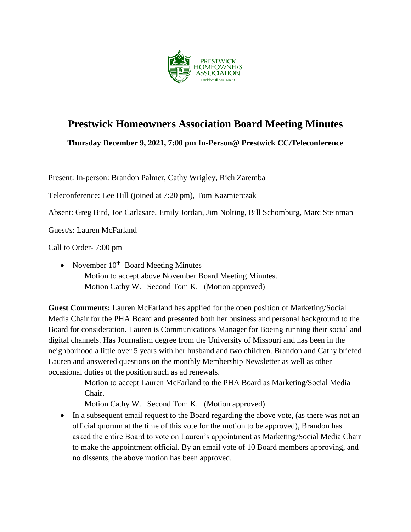

# **Prestwick Homeowners Association Board Meeting Minutes**

**Thursday December 9, 2021, 7:00 pm In-Person@ Prestwick CC/Teleconference**

Present: In-person: Brandon Palmer, Cathy Wrigley, Rich Zaremba

Teleconference: Lee Hill (joined at 7:20 pm), Tom Kazmierczak

Absent: Greg Bird, Joe Carlasare, Emily Jordan, Jim Nolting, Bill Schomburg, Marc Steinman

Guest/s: Lauren McFarland

Call to Order- 7:00 pm

• November  $10^{th}$  Board Meeting Minutes Motion to accept above November Board Meeting Minutes. Motion Cathy W. Second Tom K. (Motion approved)

**Guest Comments:** Lauren McFarland has applied for the open position of Marketing/Social Media Chair for the PHA Board and presented both her business and personal background to the Board for consideration. Lauren is Communications Manager for Boeing running their social and digital channels. Has Journalism degree from the University of Missouri and has been in the neighborhood a little over 5 years with her husband and two children. Brandon and Cathy briefed Lauren and answered questions on the monthly Membership Newsletter as well as other occasional duties of the position such as ad renewals.

> Motion to accept Lauren McFarland to the PHA Board as Marketing/Social Media Chair.

Motion Cathy W. Second Tom K. (Motion approved)

• In a subsequent email request to the Board regarding the above vote, (as there was not an official quorum at the time of this vote for the motion to be approved), Brandon has asked the entire Board to vote on Lauren's appointment as Marketing/Social Media Chair to make the appointment official. By an email vote of 10 Board members approving, and no dissents, the above motion has been approved.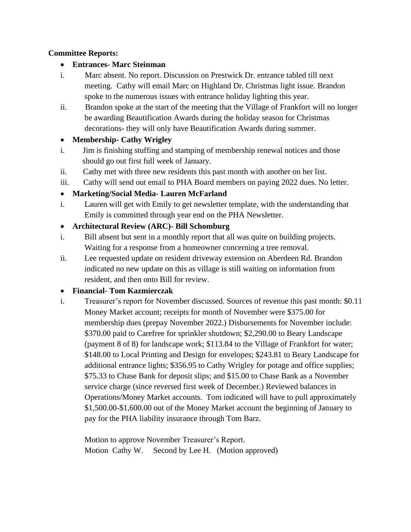#### **Committee Reports:**

#### • **Entrances- Marc Steinman**

- i. Marc absent. No report. Discussion on Prestwick Dr. entrance tabled till next meeting. Cathy will email Marc on Highland Dr. Christmas light issue. Brandon spoke to the numerous issues with entrance holiday lighting this year.
- ii. Brandon spoke at the start of the meeting that the Village of Frankfort will no longer be awarding Beautification Awards during the holiday season for Christmas decorations- they will only have Beautification Awards during summer.

#### • **Membership- Cathy Wrigley**

- i. Jim is finishing stuffing and stamping of membership renewal notices and those should go out first full week of January.
- ii. Cathy met with three new residents this past month with another on her list.
- iii. Cathy will send out email to PHA Board members on paying 2022 dues. No letter.

#### • **Marketing/Social Media- Lauren McFarland**

- i. Lauren will get with Emily to get newsletter template, with the understanding that Emily is committed through year end on the PHA Newsletter.
- **Architectural Review (ARC)- Bill Schomburg**
- i. Bill absent but sent in a monthly report that all was quite on building projects. Waiting for a response from a homeowner concerning a tree removal.
- ii. Lee requested update on resident driveway extension on Aberdeen Rd. Brandon indicated no new update on this as village is still waiting on information from resident, and then onto Bill for review.

#### • **Financial- Tom Kazmierczak**

i. Treasurer's report for November discussed. Sources of revenue this past month: \$0.11 Money Market account; receipts for month of November were \$375.00 for membership dues (prepay November 2022.) Disbursements for November include: \$370.00 paid to Carefree for sprinkler shutdown; \$2,290.00 to Beary Landscape (payment 8 of 8) for landscape work; \$113.84 to the Village of Frankfort for water; \$148.00 to Local Printing and Design for envelopes; \$243.81 to Beary Landscape for additional entrance lights; \$356.95 to Cathy Wrigley for potage and office supplies; \$75.33 to Chase Bank for deposit slips; and \$15.00 to Chase Bank as a November service charge (since reversed first week of December.) Reviewed balances in Operations/Money Market accounts. Tom indicated will have to pull approximately \$1,500.00-\$1,600.00 out of the Money Market account the beginning of January to pay for the PHA liability insurance through Tom Barz.

Motion to approve November Treasurer's Report. Motion Cathy W. Second by Lee H. (Motion approved)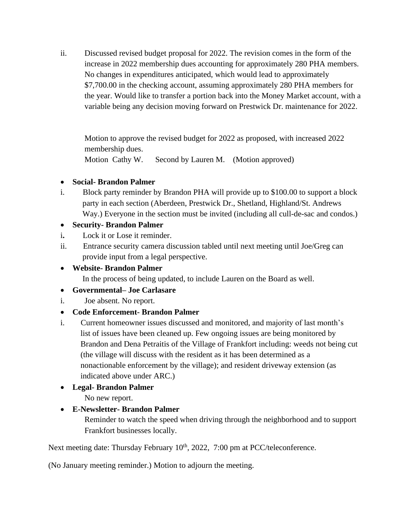ii. Discussed revised budget proposal for 2022. The revision comes in the form of the increase in 2022 membership dues accounting for approximately 280 PHA members. No changes in expenditures anticipated, which would lead to approximately \$7,700.00 in the checking account, assuming approximately 280 PHA members for the year. Would like to transfer a portion back into the Money Market account, with a variable being any decision moving forward on Prestwick Dr. maintenance for 2022.

Motion to approve the revised budget for 2022 as proposed, with increased 2022 membership dues.

Motion Cathy W. Second by Lauren M. (Motion approved)

#### • **Social- Brandon Palmer**

i. Block party reminder by Brandon PHA will provide up to \$100.00 to support a block party in each section (Aberdeen, Prestwick Dr., Shetland, Highland/St. Andrews Way.) Everyone in the section must be invited (including all cull-de-sac and condos.)

#### • **Security- Brandon Palmer**

- i**.** Lock it or Lose it reminder.
- ii. Entrance security camera discussion tabled until next meeting until Joe/Greg can provide input from a legal perspective.

### • **Website- Brandon Palmer**

In the process of being updated, to include Lauren on the Board as well.

#### • **Governmental– Joe Carlasare**

i. Joe absent. No report.

#### • **Code Enforcement- Brandon Palmer**

i.Current homeowner issues discussed and monitored, and majority of last month's list of issues have been cleaned up. Few ongoing issues are being monitored by Brandon and Dena Petraitis of the Village of Frankfort including: weeds not being cut (the village will discuss with the resident as it has been determined as a nonactionable enforcement by the village); and resident driveway extension (as indicated above under ARC.)

## • **Legal- Brandon Palmer**

No new report.

## • **E-Newsletter- Brandon Palmer**

 Reminder to watch the speed when driving through the neighborhood and to support Frankfort businesses locally.

Next meeting date: Thursday February 10<sup>th</sup>, 2022, 7:00 pm at PCC/teleconference.

(No January meeting reminder.) Motion to adjourn the meeting.